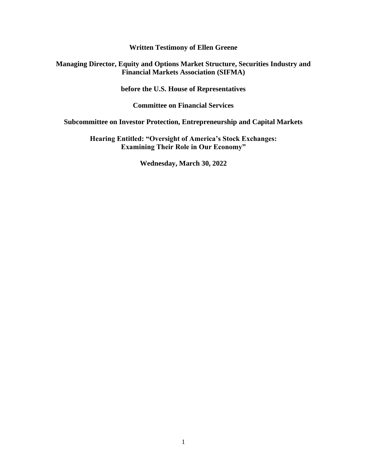**Written Testimony of Ellen Greene**

#### **Managing Director, Equity and Options Market Structure, Securities Industry and Financial Markets Association (SIFMA)**

**before the U.S. House of Representatives**

**Committee on Financial Services**

**Subcommittee on Investor Protection, Entrepreneurship and Capital Markets**

**Hearing Entitled: "Oversight of America's Stock Exchanges: Examining Their Role in Our Economy"**

**Wednesday, March 30, 2022**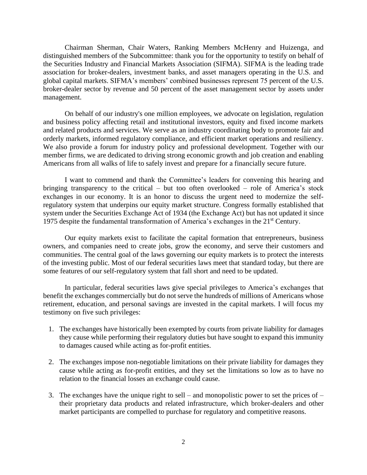Chairman Sherman, Chair Waters, Ranking Members McHenry and Huizenga, and distinguished members of the Subcommittee: thank you for the opportunity to testify on behalf of the Securities Industry and Financial Markets Association (SIFMA). SIFMA is the leading trade association for broker-dealers, investment banks, and asset managers operating in the U.S. and global capital markets. SIFMA's members' combined businesses represent 75 percent of the U.S. broker-dealer sector by revenue and 50 percent of the asset management sector by assets under management.

On behalf of our industry's one million employees, we advocate on legislation, regulation and business policy affecting retail and institutional investors, equity and fixed income markets and related products and services. We serve as an industry coordinating body to promote fair and orderly markets, informed regulatory compliance, and efficient market operations and resiliency. We also provide a forum for industry policy and professional development. Together with our member firms, we are dedicated to driving strong economic growth and job creation and enabling Americans from all walks of life to safely invest and prepare for a financially secure future.

I want to commend and thank the Committee's leaders for convening this hearing and bringing transparency to the critical – but too often overlooked – role of America's stock exchanges in our economy. It is an honor to discuss the urgent need to modernize the selfregulatory system that underpins our equity market structure. Congress formally established that system under the Securities Exchange Act of 1934 (the Exchange Act) but has not updated it since 1975 despite the fundamental transformation of America's exchanges in the 21st Century.

Our equity markets exist to facilitate the capital formation that entrepreneurs, business owners, and companies need to create jobs, grow the economy, and serve their customers and communities. The central goal of the laws governing our equity markets is to protect the interests of the investing public. Most of our federal securities laws meet that standard today, but there are some features of our self-regulatory system that fall short and need to be updated.

In particular, federal securities laws give special privileges to America's exchanges that benefit the exchanges commercially but do not serve the hundreds of millions of Americans whose retirement, education, and personal savings are invested in the capital markets. I will focus my testimony on five such privileges:

- 1. The exchanges have historically been exempted by courts from private liability for damages they cause while performing their regulatory duties but have sought to expand this immunity to damages caused while acting as for-profit entities.
- 2. The exchanges impose non-negotiable limitations on their private liability for damages they cause while acting as for-profit entities, and they set the limitations so low as to have no relation to the financial losses an exchange could cause.
- 3. The exchanges have the unique right to sell and monopolistic power to set the prices of their proprietary data products and related infrastructure, which broker-dealers and other market participants are compelled to purchase for regulatory and competitive reasons.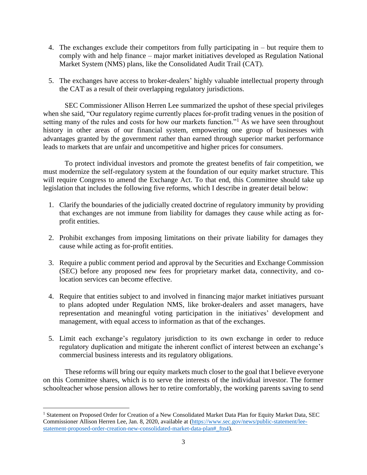- 4. The exchanges exclude their competitors from fully participating in but require them to comply with and help finance – major market initiatives developed as Regulation National Market System (NMS) plans, like the Consolidated Audit Trail (CAT).
- 5. The exchanges have access to broker-dealers' highly valuable intellectual property through the CAT as a result of their overlapping regulatory jurisdictions.

SEC Commissioner Allison Herren Lee summarized the upshot of these special privileges when she said, "Our regulatory regime currently places for-profit trading venues in the position of setting many of the rules and costs for how our markets function."<sup>1</sup> As we have seen throughout history in other areas of our financial system, empowering one group of businesses with advantages granted by the government rather than earned through superior market performance leads to markets that are unfair and uncompetitive and higher prices for consumers.

To protect individual investors and promote the greatest benefits of fair competition, we must modernize the self-regulatory system at the foundation of our equity market structure. This will require Congress to amend the Exchange Act. To that end, this Committee should take up legislation that includes the following five reforms, which I describe in greater detail below:

- 1. Clarify the boundaries of the judicially created doctrine of regulatory immunity by providing that exchanges are not immune from liability for damages they cause while acting as forprofit entities.
- 2. Prohibit exchanges from imposing limitations on their private liability for damages they cause while acting as for-profit entities.
- 3. Require a public comment period and approval by the Securities and Exchange Commission (SEC) before any proposed new fees for proprietary market data, connectivity, and colocation services can become effective.
- 4. Require that entities subject to and involved in financing major market initiatives pursuant to plans adopted under Regulation NMS, like broker-dealers and asset managers, have representation and meaningful voting participation in the initiatives' development and management, with equal access to information as that of the exchanges.
- 5. Limit each exchange's regulatory jurisdiction to its own exchange in order to reduce regulatory duplication and mitigate the inherent conflict of interest between an exchange's commercial business interests and its regulatory obligations.

These reforms will bring our equity markets much closer to the goal that I believe everyone on this Committee shares, which is to serve the interests of the individual investor. The former schoolteacher whose pension allows her to retire comfortably, the working parents saving to send

<sup>1</sup> Statement on Proposed Order for Creation of a New Consolidated Market Data Plan for Equity Market Data, SEC Commissioner Allison Herren Lee, Jan. 8, 2020, available at [\(https://www.sec.gov/news/public-statement/lee](https://www.sec.gov/news/public-statement/lee-statement-proposed-order-creation-new-consolidated-market-data-plan#_ftn4)[statement-proposed-order-creation-new-consolidated-market-data-plan#\\_ftn4\)](https://www.sec.gov/news/public-statement/lee-statement-proposed-order-creation-new-consolidated-market-data-plan#_ftn4).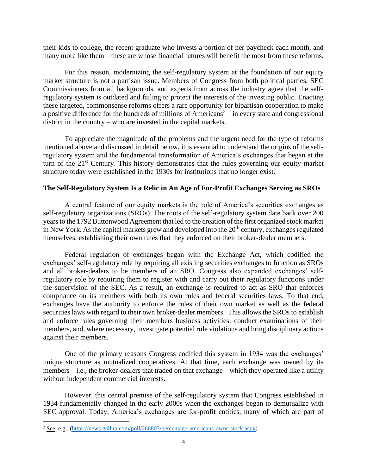their kids to college, the recent graduate who invests a portion of her paycheck each month, and many more like them – these are whose financial futures will benefit the most from these reforms.

For this reason, modernizing the self-regulatory system at the foundation of our equity market structure is not a partisan issue. Members of Congress from both political parties, SEC Commissioners from all backgrounds, and experts from across the industry agree that the selfregulatory system is outdated and failing to protect the interests of the investing public. Enacting these targeted, commonsense reforms offers a rare opportunity for bipartisan cooperation to make a positive difference for the hundreds of millions of Americans<sup>2</sup> – in every state and congressional district in the country – who are invested in the capital markets.

To appreciate the magnitude of the problems and the urgent need for the type of reforms mentioned above and discussed in detail below, it is essential to understand the origins of the selfregulatory system and the fundamental transformation of America's exchanges that began at the turn of the  $21<sup>st</sup>$  Century. This history demonstrates that the rules governing our equity market structure today were established in the 1930s for institutions that no longer exist.

## **The Self-Regulatory System Is a Relic in An Age of For-Profit Exchanges Serving as SROs**

A central feature of our equity markets is the role of America's securities exchanges as self-regulatory organizations (SROs). The roots of the self-regulatory system date back over 200 years to the 1792 Buttonwood Agreement that led to the creation of the first organized stock market in New York. As the capital markets grew and developed into the 20<sup>th</sup> century, exchanges regulated themselves, establishing their own rules that they enforced on their broker-dealer members.

Federal regulation of exchanges began with the Exchange Act, which codified the exchanges' self-regulatory role by requiring all existing securities exchanges to function as SROs and all broker-dealers to be members of an SRO. Congress also expanded exchanges' selfregulatory role by requiring them to register with and carry out their regulatory functions under the supervision of the SEC. As a result, an exchange is required to act as SRO that enforces compliance on its members with both its own rules and federal securities laws. To that end, exchanges have the authority to enforce the rules of their own market as well as the federal securities laws with regard to their own broker-dealer members. This allows the SROs to establish and enforce rules governing their members business activities, conduct examinations of their members, and, where necessary, investigate potential rule violations and bring disciplinary actions against their members.

One of the primary reasons Congress codified this system in 1934 was the exchanges' unique structure as mutualized cooperatives. At that time, each exchange was owned by its members – i.e., the broker-dealers that traded on that exchange – which they operated like a utility without independent commercial interests.

However, this central premise of the self-regulatory system that Congress established in 1934 fundamentally changed in the early 2000s when the exchanges began to demutualize with SEC approval. Today, America's exchanges are for-profit entities, many of which are part of

<sup>2</sup> See, e.g., [\(https://news.gallup.com/poll/266807/percentage-americans-owns-stock.aspx\)](https://news.gallup.com/poll/266807/percentage-americans-owns-stock.aspx).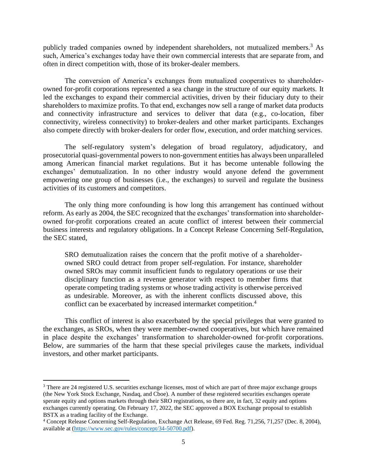publicly traded companies owned by independent shareholders, not mutualized members.<sup>3</sup> As such, America's exchanges today have their own commercial interests that are separate from, and often in direct competition with, those of its broker-dealer members.

The conversion of America's exchanges from mutualized cooperatives to shareholderowned for-profit corporations represented a sea change in the structure of our equity markets. It led the exchanges to expand their commercial activities, driven by their fiduciary duty to their shareholders to maximize profits. To that end, exchanges now sell a range of market data products and connectivity infrastructure and services to deliver that data (e.g., co-location, fiber connectivity, wireless connectivity) to broker-dealers and other market participants. Exchanges also compete directly with broker-dealers for order flow, execution, and order matching services.

The self-regulatory system's delegation of broad regulatory, adjudicatory, and prosecutorial quasi-governmental powers to non-government entities has always been unparalleled among American financial market regulations. But it has become untenable following the exchanges' demutualization. In no other industry would anyone defend the government empowering one group of businesses (i.e., the exchanges) to surveil and regulate the business activities of its customers and competitors.

The only thing more confounding is how long this arrangement has continued without reform. As early as 2004, the SEC recognized that the exchanges' transformation into shareholderowned for-profit corporations created an acute conflict of interest between their commercial business interests and regulatory obligations. In a Concept Release Concerning Self-Regulation, the SEC stated,

SRO demutualization raises the concern that the profit motive of a shareholderowned SRO could detract from proper self-regulation. For instance, shareholder owned SROs may commit insufficient funds to regulatory operations or use their disciplinary function as a revenue generator with respect to member firms that operate competing trading systems or whose trading activity is otherwise perceived as undesirable. Moreover, as with the inherent conflicts discussed above, this conflict can be exacerbated by increased intermarket competition.<sup>4</sup>

This conflict of interest is also exacerbated by the special privileges that were granted to the exchanges, as SROs, when they were member-owned cooperatives, but which have remained in place despite the exchanges' transformation to shareholder-owned for-profit corporations. Below, are summaries of the harm that these special privileges cause the markets, individual investors, and other market participants.

<sup>&</sup>lt;sup>3</sup> There are 24 registered U.S. securities exchange licenses, most of which are part of three major exchange groups (the New York Stock Exchange, Nasdaq, and Cboe). A number of these registered securities exchanges operate sperate equity and options markets through their SRO registrations, so there are, in fact, 32 equity and options exchanges currently operating. On February 17, 2022, the SEC approved a BOX Exchange proposal to establish BSTX as a trading facility of the Exchange.

<sup>4</sup> Concept Release Concerning Self-Regulation, Exchange Act Release, 69 Fed. Reg. 71,256, 71,257 (Dec. 8, 2004), available at [\(https://www.sec.gov/rules/concept/34-50700.pdf\)](https://www.sec.gov/rules/concept/34-50700.pdf).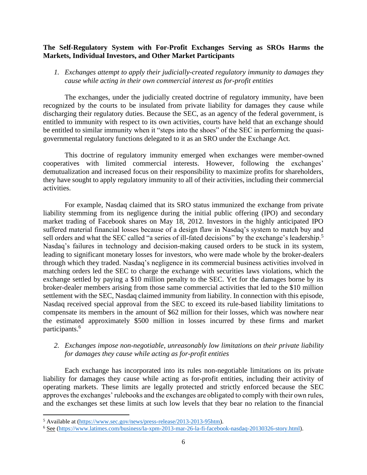#### **The Self-Regulatory System with For-Profit Exchanges Serving as SROs Harms the Markets, Individual Investors, and Other Market Participants**

## *1. Exchanges attempt to apply their judicially-created regulatory immunity to damages they cause while acting in their own commercial interest as for-profit entities*

The exchanges, under the judicially created doctrine of regulatory immunity, have been recognized by the courts to be insulated from private liability for damages they cause while discharging their regulatory duties. Because the SEC, as an agency of the federal government, is entitled to immunity with respect to its own activities, courts have held that an exchange should be entitled to similar immunity when it "steps into the shoes" of the SEC in performing the quasigovernmental regulatory functions delegated to it as an SRO under the Exchange Act.

This doctrine of regulatory immunity emerged when exchanges were member-owned cooperatives with limited commercial interests. However, following the exchanges' demutualization and increased focus on their responsibility to maximize profits for shareholders, they have sought to apply regulatory immunity to all of their activities, including their commercial activities.

For example, Nasdaq claimed that its SRO status immunized the exchange from private liability stemming from its negligence during the initial public offering (IPO) and secondary market trading of Facebook shares on May 18, 2012. Investors in the highly anticipated IPO suffered material financial losses because of a design flaw in Nasdaq's system to match buy and sell orders and what the SEC called "a series of ill-fated decisions" by the exchange's leadership.<sup>5</sup> Nasdaq's failures in technology and decision-making caused orders to be stuck in its system, leading to significant monetary losses for investors, who were made whole by the broker-dealers through which they traded. Nasdaq's negligence in its commercial business activities involved in matching orders led the SEC to charge the exchange with securities laws violations, which the exchange settled by paying a \$10 million penalty to the SEC. Yet for the damages borne by its broker-dealer members arising from those same commercial activities that led to the \$10 million settlement with the SEC, Nasdaq claimed immunity from liability. In connection with this episode, Nasdaq received special approval from the SEC to exceed its rule-based liability limitations to compensate its members in the amount of \$62 million for their losses, which was nowhere near the estimated approximately \$500 million in losses incurred by these firms and market participants.<sup>6</sup>

## *2. Exchanges impose non-negotiable, unreasonably low limitations on their private liability for damages they cause while acting as for-profit entities*

Each exchange has incorporated into its rules non-negotiable limitations on its private liability for damages they cause while acting as for-profit entities, including their activity of operating markets. These limits are legally protected and strictly enforced because the SEC approves the exchanges' rulebooks and the exchanges are obligated to comply with their own rules, and the exchanges set these limits at such low levels that they bear no relation to the financial

<sup>5</sup> Available at [\(https://www.sec.gov/news/press-release/2013-2013-95htm\)](https://www.sec.gov/news/press-release/2013-2013-95htm).

<sup>6</sup> See [\(https://www.latimes.com/business/la-xpm-2013-mar-26-la-fi-facebook-nasdaq-20130326-story.html\)](https://www.latimes.com/business/la-xpm-2013-mar-26-la-fi-facebook-nasdaq-20130326-story.html).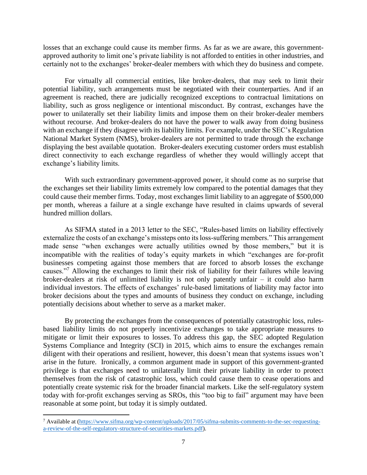losses that an exchange could cause its member firms. As far as we are aware, this governmentapproved authority to limit one's private liability is not afforded to entities in other industries, and certainly not to the exchanges' broker-dealer members with which they do business and compete.

For virtually all commercial entities, like broker-dealers, that may seek to limit their potential liability, such arrangements must be negotiated with their counterparties. And if an agreement is reached, there are judicially recognized exceptions to contractual limitations on liability, such as gross negligence or intentional misconduct. By contrast, exchanges have the power to unilaterally set their liability limits and impose them on their broker-dealer members without recourse. And broker-dealers do not have the power to walk away from doing business with an exchange if they disagree with its liability limits. For example, under the SEC's Regulation National Market System (NMS), broker-dealers are not permitted to trade through the exchange displaying the best available quotation. Broker-dealers executing customer orders must establish direct connectivity to each exchange regardless of whether they would willingly accept that exchange's liability limits.

With such extraordinary government-approved power, it should come as no surprise that the exchanges set their liability limits extremely low compared to the potential damages that they could cause their member firms. Today, most exchanges limit liability to an aggregate of \$500,000 per month, whereas a failure at a single exchange have resulted in claims upwards of several hundred million dollars.

As SIFMA stated in a 2013 letter to the SEC, "Rules-based limits on liability effectively externalize the costs of an exchange's missteps onto its loss-suffering members." This arrangement made sense "when exchanges were actually utilities owned by those members," but it is incompatible with the realities of today's equity markets in which "exchanges are for-profit businesses competing against those members that are forced to absorb losses the exchange causes."<sup>7</sup> Allowing the exchanges to limit their risk of liability for their failures while leaving broker-dealers at risk of unlimited liability is not only patently unfair – it could also harm individual investors. The effects of exchanges' rule-based limitations of liability may factor into broker decisions about the types and amounts of business they conduct on exchange, including potentially decisions about whether to serve as a market maker.

By protecting the exchanges from the consequences of potentially catastrophic loss, rulesbased liability limits do not properly incentivize exchanges to take appropriate measures to mitigate or limit their exposures to losses. To address this gap, the SEC adopted Regulation Systems Compliance and Integrity (SCI) in 2015, which aims to ensure the exchanges remain diligent with their operations and resilient, however, this doesn't mean that systems issues won't arise in the future. Ironically, a common argument made in support of this government-granted privilege is that exchanges need to unilaterally limit their private liability in order to protect themselves from the risk of catastrophic loss, which could cause them to cease operations and potentially create systemic risk for the broader financial markets. Like the self-regulatory system today with for-profit exchanges serving as SROs, this "too big to fail" argument may have been reasonable at some point, but today it is simply outdated.

<sup>7</sup> Available at [\(https://www.sifma.org/wp-content/uploads/2017/05/sifma-submits-comments-to-the-sec-requesting](https://www.sifma.org/wp-content/uploads/2017/05/sifma-submits-comments-to-the-sec-requesting-a-review-of-the-self-regulatory-structure-of-securities-markets.pdf)[a-review-of-the-self-regulatory-structure-of-securities-markets.pdf\)](https://www.sifma.org/wp-content/uploads/2017/05/sifma-submits-comments-to-the-sec-requesting-a-review-of-the-self-regulatory-structure-of-securities-markets.pdf).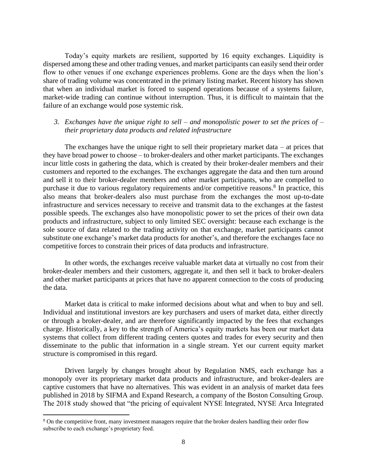Today's equity markets are resilient, supported by 16 equity exchanges. Liquidity is dispersed among these and other trading venues, and market participants can easily send their order flow to other venues if one exchange experiences problems. Gone are the days when the lion's share of trading volume was concentrated in the primary listing market. Recent history has shown that when an individual market is forced to suspend operations because of a systems failure, market-wide trading can continue without interruption. Thus, it is difficult to maintain that the failure of an exchange would pose systemic risk.

#### *3. Exchanges have the unique right to sell – and monopolistic power to set the prices of – their proprietary data products and related infrastructure*

The exchanges have the unique right to sell their proprietary market data – at prices that they have broad power to choose – to broker-dealers and other market participants. The exchanges incur little costs in gathering the data, which is created by their broker-dealer members and their customers and reported to the exchanges. The exchanges aggregate the data and then turn around and sell it to their broker-dealer members and other market participants, who are compelled to purchase it due to various regulatory requirements and/or competitive reasons.<sup>8</sup> In practice, this also means that broker-dealers also must purchase from the exchanges the most up-to-date infrastructure and services necessary to receive and transmit data to the exchanges at the fastest possible speeds. The exchanges also have monopolistic power to set the prices of their own data products and infrastructure, subject to only limited SEC oversight: because each exchange is the sole source of data related to the trading activity on that exchange, market participants cannot substitute one exchange's market data products for another's, and therefore the exchanges face no competitive forces to constrain their prices of data products and infrastructure.

In other words, the exchanges receive valuable market data at virtually no cost from their broker-dealer members and their customers, aggregate it, and then sell it back to broker-dealers and other market participants at prices that have no apparent connection to the costs of producing the data.

Market data is critical to make informed decisions about what and when to buy and sell. Individual and institutional investors are key purchasers and users of market data, either directly or through a broker-dealer, and are therefore significantly impacted by the fees that exchanges charge. Historically, a key to the strength of America's equity markets has been our market data systems that collect from different trading centers quotes and trades for every security and then disseminate to the public that information in a single stream. Yet our current equity market structure is compromised in this regard.

Driven largely by changes brought about by Regulation NMS, each exchange has a monopoly over its proprietary market data products and infrastructure, and broker-dealers are captive customers that have no alternatives. This was evident in an analysis of market data fees published in 2018 by SIFMA and Expand Research, a company of the Boston Consulting Group. The 2018 study showed that "the pricing of equivalent NYSE Integrated, NYSE Arca Integrated

<sup>&</sup>lt;sup>8</sup> On the competitive front, many investment managers require that the broker dealers handling their order flow subscribe to each exchange's proprietary feed.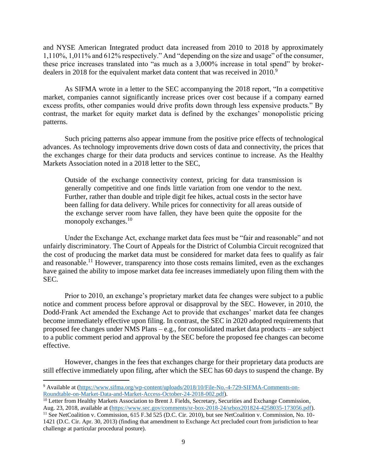and NYSE American Integrated product data increased from 2010 to 2018 by approximately 1,110%, 1,011% and 612% respectively." And "depending on the size and usage" of the consumer, these price increases translated into "as much as a 3,000% increase in total spend" by brokerdealers in 2018 for the equivalent market data content that was received in 2010.<sup>9</sup>

As SIFMA wrote in a letter to the SEC accompanying the 2018 report, "In a competitive market, companies cannot significantly increase prices over cost because if a company earned excess profits, other companies would drive profits down through less expensive products." By contrast, the market for equity market data is defined by the exchanges' monopolistic pricing patterns.

Such pricing patterns also appear immune from the positive price effects of technological advances. As technology improvements drive down costs of data and connectivity, the prices that the exchanges charge for their data products and services continue to increase. As the Healthy Markets Association noted in a 2018 letter to the SEC,

Outside of the exchange connectivity context, pricing for data transmission is generally competitive and one finds little variation from one vendor to the next. Further, rather than double and triple digit fee hikes, actual costs in the sector have been falling for data delivery. While prices for connectivity for all areas outside of the exchange server room have fallen, they have been quite the opposite for the monopoly exchanges.<sup>10</sup>

Under the Exchange Act, exchange market data fees must be "fair and reasonable" and not unfairly discriminatory. The Court of Appeals for the District of Columbia Circuit recognized that the cost of producing the market data must be considered for market data fees to qualify as fair and reasonable.<sup>11</sup> However, transparency into those costs remains limited, even as the exchanges have gained the ability to impose market data fee increases immediately upon filing them with the SEC.

Prior to 2010, an exchange's proprietary market data fee changes were subject to a public notice and comment process before approval or disapproval by the SEC. However, in 2010, the Dodd-Frank Act amended the Exchange Act to provide that exchanges' market data fee changes become immediately effective upon filing. In contrast, the SEC in 2020 adopted requirements that proposed fee changes under NMS Plans – e.g., for consolidated market data products – are subject to a public comment period and approval by the SEC before the proposed fee changes can become effective.

However, changes in the fees that exchanges charge for their proprietary data products are still effective immediately upon filing, after which the SEC has 60 days to suspend the change. By

<sup>9</sup> Available at [\(https://www.sifma.org/wp-content/uploads/2018/10/File-No.-4-729-SIFMA-Comments-on-](https://www.sifma.org/wp-content/uploads/2018/10/File-No.-4-729-SIFMA-Comments-on-Roundtable-on-Market-Data-and-Market-Access-October-24-2018-002.pdf)[Roundtable-on-Market-Data-and-Market-Access-October-24-2018-002.pdf\)](https://www.sifma.org/wp-content/uploads/2018/10/File-No.-4-729-SIFMA-Comments-on-Roundtable-on-Market-Data-and-Market-Access-October-24-2018-002.pdf).

<sup>&</sup>lt;sup>10</sup> Letter from Healthy Markets Association to Brent J. Fields, Secretary, Securities and Exchange Commission, Aug. 23, 2018, available at [\(https://www.sec.gov/comments/sr-box-2018-24/srbox201824-4258035-173056.pdf\)](https://www.sec.gov/comments/sr-box-2018-24/srbox201824-4258035-173056.pdf).

<sup>&</sup>lt;sup>11</sup> See NetCoalition v. Commission, 615 F.3d 525 (D.C. Cir. 2010), but see NetCoalition v. Commission, No. 10-1421 (D.C. Cir. Apr. 30, 2013) (finding that amendment to Exchange Act precluded court from jurisdiction to hear challenge at particular procedural posture).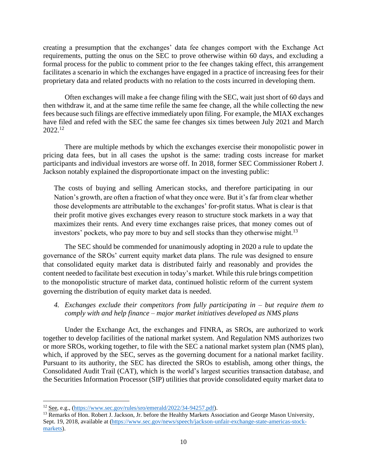creating a presumption that the exchanges' data fee changes comport with the Exchange Act requirements, putting the onus on the SEC to prove otherwise within 60 days, and excluding a formal process for the public to comment prior to the fee changes taking effect, this arrangement facilitates a scenario in which the exchanges have engaged in a practice of increasing fees for their proprietary data and related products with no relation to the costs incurred in developing them.

Often exchanges will make a fee change filing with the SEC, wait just short of 60 days and then withdraw it, and at the same time refile the same fee change, all the while collecting the new fees because such filings are effective immediately upon filing. For example, the MIAX exchanges have filed and refed with the SEC the same fee changes six times between July 2021 and March 2022.<sup>12</sup>

There are multiple methods by which the exchanges exercise their monopolistic power in pricing data fees, but in all cases the upshot is the same: trading costs increase for market participants and individual investors are worse off. In 2018, former SEC Commissioner Robert J. Jackson notably explained the disproportionate impact on the investing public:

The costs of buying and selling American stocks, and therefore participating in our Nation's growth, are often a fraction of what they once were. But it's far from clear whether those developments are attributable to the exchanges' for-profit status. What is clear is that their profit motive gives exchanges every reason to structure stock markets in a way that maximizes their rents. And every time exchanges raise prices, that money comes out of investors' pockets, who pay more to buy and sell stocks than they otherwise might.<sup>13</sup>

The SEC should be commended for unanimously adopting in 2020 a rule to update the governance of the SROs' current equity market data plans. The rule was designed to ensure that consolidated equity market data is distributed fairly and reasonably and provides the content needed to facilitate best execution in today's market. While this rule brings competition to the monopolistic structure of market data, continued holistic reform of the current system governing the distribution of equity market data is needed.

*4. Exchanges exclude their competitors from fully participating in – but require them to comply with and help finance – major market initiatives developed as NMS plans*

Under the Exchange Act, the exchanges and FINRA, as SROs, are authorized to work together to develop facilities of the national market system. And Regulation NMS authorizes two or more SROs, working together, to file with the SEC a national market system plan (NMS plan), which, if approved by the SEC, serves as the governing document for a national market facility. Pursuant to its authority, the SEC has directed the SROs to establish, among other things, the Consolidated Audit Trail (CAT), which is the world's largest securities transaction database, and the Securities Information Processor (SIP) utilities that provide consolidated equity market data to

 $12$  See, e.g., [\(https://www.sec.gov/rules/sro/emerald/2022/34-94257.pdf\)](https://www.sec.gov/rules/sro/emerald/2022/34-94257.pdf).

<sup>&</sup>lt;sup>13</sup> Remarks of Hon. Robert J. Jackson, Jr. before the Healthy Markets Association and George Mason University, Sept. 19, 2018, available at [\(https://www.sec.gov/news/speech/jackson-unfair-exchange-state-americas-stock](https://www.sec.gov/news/speech/jackson-unfair-exchange-state-americas-stock-markets)[markets\)](https://www.sec.gov/news/speech/jackson-unfair-exchange-state-americas-stock-markets).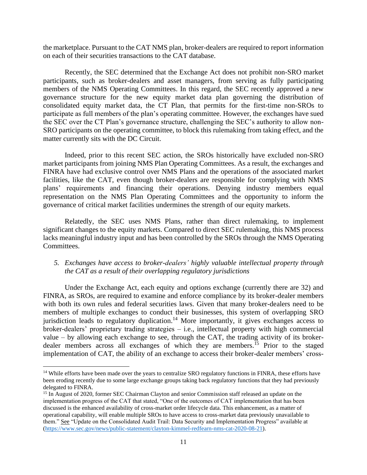the marketplace. Pursuant to the CAT NMS plan, broker-dealers are required to report information on each of their securities transactions to the CAT database.

Recently, the SEC determined that the Exchange Act does not prohibit non-SRO market participants, such as broker-dealers and asset managers, from serving as fully participating members of the NMS Operating Committees. In this regard, the SEC recently approved a new governance structure for the new equity market data plan governing the distribution of consolidated equity market data, the CT Plan, that permits for the first-time non-SROs to participate as full members of the plan's operating committee. However, the exchanges have sued the SEC over the CT Plan's governance structure, challenging the SEC's authority to allow non-SRO participants on the operating committee, to block this rulemaking from taking effect, and the matter currently sits with the DC Circuit.

Indeed, prior to this recent SEC action, the SROs historically have excluded non-SRO market participants from joining NMS Plan Operating Committees. As a result, the exchanges and FINRA have had exclusive control over NMS Plans and the operations of the associated market facilities, like the CAT, even though broker-dealers are responsible for complying with NMS plans' requirements and financing their operations. Denying industry members equal representation on the NMS Plan Operating Committees and the opportunity to inform the governance of critical market facilities undermines the strength of our equity markets.

Relatedly, the SEC uses NMS Plans, rather than direct rulemaking, to implement significant changes to the equity markets. Compared to direct SEC rulemaking, this NMS process lacks meaningful industry input and has been controlled by the SROs through the NMS Operating Committees.

## *5. Exchanges have access to broker-dealers' highly valuable intellectual property through the CAT as a result of their overlapping regulatory jurisdictions*

Under the Exchange Act, each equity and options exchange (currently there are 32) and FINRA, as SROs, are required to examine and enforce compliance by its broker-dealer members with both its own rules and federal securities laws. Given that many broker-dealers need to be members of multiple exchanges to conduct their businesses, this system of overlapping SRO jurisdiction leads to regulatory duplication.<sup>14</sup> More importantly, it gives exchanges access to broker-dealers' proprietary trading strategies – i.e., intellectual property with high commercial value – by allowing each exchange to see, through the CAT, the trading activity of its brokerdealer members across all exchanges of which they are members.<sup>15</sup> Prior to the staged implementation of CAT, the ability of an exchange to access their broker-dealer members' cross-

<sup>&</sup>lt;sup>14</sup> While efforts have been made over the years to centralize SRO regulatory functions in FINRA, these efforts have been eroding recently due to some large exchange groups taking back regulatory functions that they had previously delegated to FINRA.

<sup>&</sup>lt;sup>15</sup> In August of 2020, former SEC Chairman Clayton and senior Commission staff released an update on the implementation progress of the CAT that stated, "One of the outcomes of CAT implementation that has been discussed is the enhanced availability of cross-market order lifecycle data. This enhancement, as a matter of operational capability, will enable multiple SROs to have access to cross-market data previously unavailable to them." See "Update on the Consolidated Audit Trail: Data Security and Implementation Progress" available at [\(https://www.sec.gov/news/public-statement/clayton-kimmel-redfearn-nms-cat-2020-08-21\)](https://www.sec.gov/news/public-statement/clayton-kimmel-redfearn-nms-cat-2020-08-21).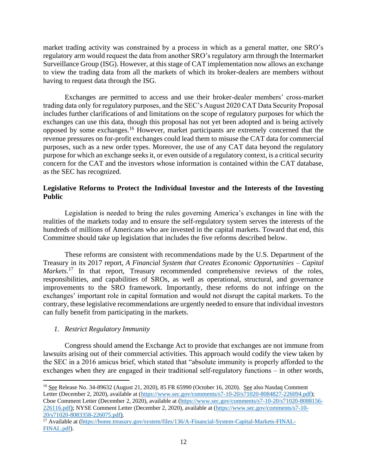market trading activity was constrained by a process in which as a general matter, one SRO's regulatory arm would request the data from another SRO's regulatory arm through the Intermarket Surveillance Group (ISG). However, at this stage of CAT implementation now allows an exchange to view the trading data from all the markets of which its broker-dealers are members without having to request data through the ISG.

Exchanges are permitted to access and use their broker-dealer members' cross-market trading data only for regulatory purposes, and the SEC's August 2020 CAT Data Security Proposal includes further clarifications of and limitations on the scope of regulatory purposes for which the exchanges can use this data, though this proposal has not yet been adopted and is being actively opposed by some exchanges.<sup>16</sup> However, market participants are extremely concerned that the revenue pressures on for-profit exchanges could lead them to misuse the CAT data for commercial purposes, such as a new order types. Moreover, the use of any CAT data beyond the regulatory purpose for which an exchange seeks it, or even outside of a regulatory context, is a critical security concern for the CAT and the investors whose information is contained within the CAT database, as the SEC has recognized.

## **Legislative Reforms to Protect the Individual Investor and the Interests of the Investing Public**

Legislation is needed to bring the rules governing America's exchanges in line with the realities of the markets today and to ensure the self-regulatory system serves the interests of the hundreds of millions of Americans who are invested in the capital markets. Toward that end, this Committee should take up legislation that includes the five reforms described below.

These reforms are consistent with recommendations made by the U.S. Department of the Treasury in its 2017 report, *A Financial System that Creates Economic Opportunities – Capital Markets.*<sup>17</sup> In that report, Treasury recommended comprehensive reviews of the roles, responsibilities, and capabilities of SROs, as well as operational, structural, and governance improvements to the SRO framework. Importantly, these reforms do not infringe on the exchanges' important role in capital formation and would not disrupt the capital markets. To the contrary, these legislative recommendations are urgently needed to ensure that individual investors can fully benefit from participating in the markets.

# *1. Restrict Regulatory Immunity*

Congress should amend the Exchange Act to provide that exchanges are not immune from lawsuits arising out of their commercial activities. This approach would codify the view taken by the SEC in a 2016 amicus brief, which stated that "absolute immunity is properly afforded to the exchanges when they are engaged in their traditional self-regulatory functions – in other words,

<sup>&</sup>lt;sup>16</sup> See Release No. 34-89632 (August 21, 2020), 85 FR 65990 (October 16, 2020). See also Nasdaq Comment Letter (December 2, 2020), available at [\(https://www.sec.gov/comments/s7-10-20/s71020-8084827-226094.pdf\)](https://www.sec.gov/comments/s7-10-20/s71020-8084827-226094.pdf); Cboe Comment Letter (December 2, 2020), available at [\(https://www.sec.gov/comments/s7-10-20/s71020-8088156-](https://www.sec.gov/comments/s7-10-20/s71020-8088156-226116.pdf) [226116.pdf\)](https://www.sec.gov/comments/s7-10-20/s71020-8088156-226116.pdf); NYSE Comment Letter (December 2, 2020), available at [\(https://www.sec.gov/comments/s7-10-](https://www.sec.gov/comments/s7-10-20/s71020-8083358-226075.pdf) [20/s71020-8083358-226075.pdf\)](https://www.sec.gov/comments/s7-10-20/s71020-8083358-226075.pdf).

<sup>&</sup>lt;sup>17</sup> Available at [\(https://home.treasury.gov/system/files/136/A-Financial-System-Capital-Markets-FINAL-](https://home.treasury.gov/system/files/136/A-Financial-System-Capital-Markets-FINAL-FINAL.pdf)[FINAL.pdf\)](https://home.treasury.gov/system/files/136/A-Financial-System-Capital-Markets-FINAL-FINAL.pdf).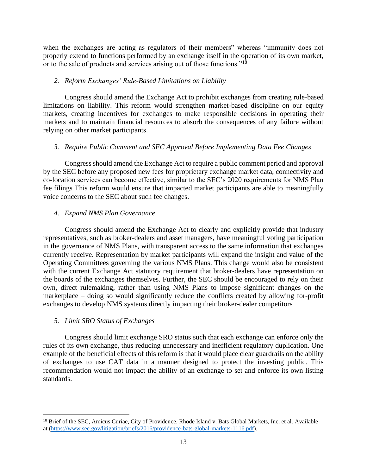when the exchanges are acting as regulators of their members" whereas "immunity does not properly extend to functions performed by an exchange itself in the operation of its own market, or to the sale of products and services arising out of those functions."<sup>18</sup>

## *2. Reform Exchanges' Rule-Based Limitations on Liability*

Congress should amend the Exchange Act to prohibit exchanges from creating rule-based limitations on liability. This reform would strengthen market-based discipline on our equity markets, creating incentives for exchanges to make responsible decisions in operating their markets and to maintain financial resources to absorb the consequences of any failure without relying on other market participants.

## *3. Require Public Comment and SEC Approval Before Implementing Data Fee Changes*

Congress should amend the Exchange Act to require a public comment period and approval by the SEC before any proposed new fees for proprietary exchange market data, connectivity and co-location services can become effective, similar to the SEC's 2020 requirements for NMS Plan fee filings This reform would ensure that impacted market participants are able to meaningfully voice concerns to the SEC about such fee changes.

## *4. Expand NMS Plan Governance*

Congress should amend the Exchange Act to clearly and explicitly provide that industry representatives, such as broker-dealers and asset managers, have meaningful voting participation in the governance of NMS Plans, with transparent access to the same information that exchanges currently receive. Representation by market participants will expand the insight and value of the Operating Committees governing the various NMS Plans. This change would also be consistent with the current Exchange Act statutory requirement that broker-dealers have representation on the boards of the exchanges themselves. Further, the SEC should be encouraged to rely on their own, direct rulemaking, rather than using NMS Plans to impose significant changes on the marketplace – doing so would significantly reduce the conflicts created by allowing for-profit exchanges to develop NMS systems directly impacting their broker-dealer competitors

# *5. Limit SRO Status of Exchanges*

Congress should limit exchange SRO status such that each exchange can enforce only the rules of its own exchange, thus reducing unnecessary and inefficient regulatory duplication. One example of the beneficial effects of this reform is that it would place clear guardrails on the ability of exchanges to use CAT data in a manner designed to protect the investing public. This recommendation would not impact the ability of an exchange to set and enforce its own listing standards.

<sup>&</sup>lt;sup>18</sup> Brief of the SEC, Amicus Curiae, City of Providence, Rhode Island v. Bats Global Markets, Inc. et al. Available at [\(https://www.sec.gov/litigation/briefs/2016/providence-bats-global-markets-1116.pdf\)](https://www.sec.gov/litigation/briefs/2016/providence-bats-global-markets-1116.pdf).